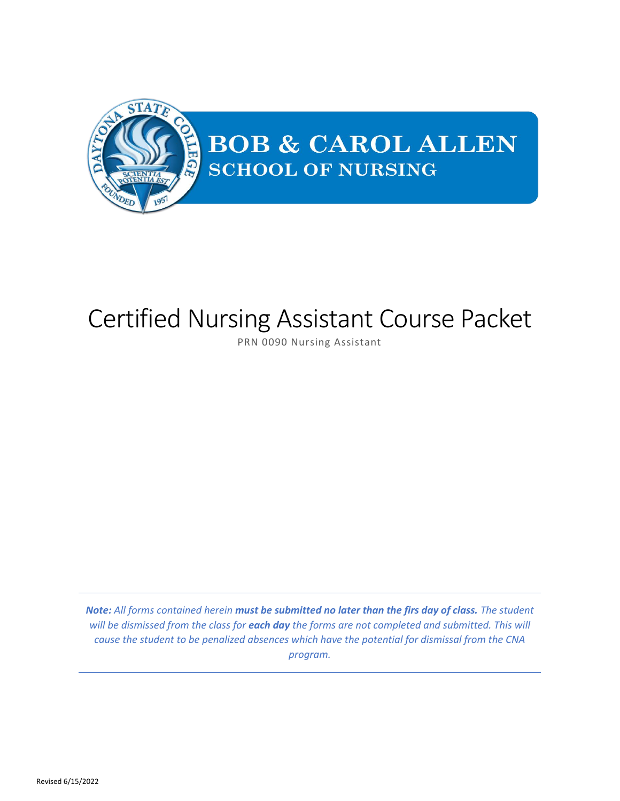

# Certified Nursing Assistant Course Packet

PRN 0090 Nursing Assistant

*Note: All forms contained herein must be submitted no later than the firs day of class. The student will be dismissed from the class for each day the forms are not completed and submitted. This will cause the student to be penalized absences which have the potential for dismissal from the CNA program.*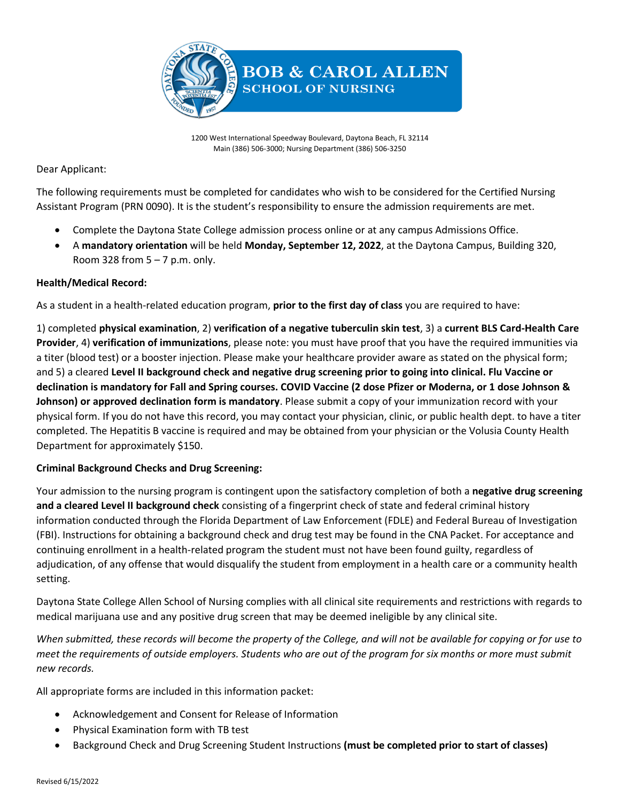

1200 West International Speedway Boulevard, Daytona Beach, FL 32114 Main (386) 506-3000; Nursing Department (386) 506-3250

Dear Applicant:

The following requirements must be completed for candidates who wish to be considered for the Certified Nursing Assistant Program (PRN 0090). It is the student's responsibility to ensure the admission requirements are met.

- Complete the Daytona State College admission process online or at any campus Admissions Office.
- A **mandatory orientation** will be held **Monday, September 12, 2022**, at the Daytona Campus, Building 320, Room 328 from  $5 - 7$  p.m. only.

### **Health/Medical Record:**

As a student in a health-related education program, **prior to the first day of class** you are required to have:

1) completed **physical examination**, 2) **verification of a negative tuberculin skin test**, 3) a **current BLS Card-Health Care Provider**, 4) **verification of immunizations**, please note: you must have proof that you have the required immunities via a titer (blood test) or a booster injection. Please make your healthcare provider aware as stated on the physical form; and 5) a cleared **Level II background check and negative drug screening prior to going into clinical. Flu Vaccine or declination is mandatory for Fall and Spring courses. COVID Vaccine (2 dose Pfizer or Moderna, or 1 dose Johnson & Johnson) or approved declination form is mandatory**. Please submit a copy of your immunization record with your physical form. If you do not have this record, you may contact your physician, clinic, or public health dept. to have a titer completed. The Hepatitis B vaccine is required and may be obtained from your physician or the Volusia County Health Department for approximately \$150.

### **Criminal Background Checks and Drug Screening:**

Your admission to the nursing program is contingent upon the satisfactory completion of both a **negative drug screening and a cleared Level II background check** consisting of a fingerprint check of state and federal criminal history information conducted through the Florida Department of Law Enforcement (FDLE) and Federal Bureau of Investigation (FBI). Instructions for obtaining a background check and drug test may be found in the CNA Packet. For acceptance and continuing enrollment in a health-related program the student must not have been found guilty, regardless of adjudication, of any offense that would disqualify the student from employment in a health care or a community health setting.

Daytona State College Allen School of Nursing complies with all clinical site requirements and restrictions with regards to medical marijuana use and any positive drug screen that may be deemed ineligible by any clinical site.

*When submitted, these records will become the property of the College, and will not be available for copying or for use to meet the requirements of outside employers. Students who are out of the program for six months or more must submit new records.*

All appropriate forms are included in this information packet:

- Acknowledgement and Consent for Release of Information
- Physical Examination form with TB test
- Background Check and Drug Screening Student Instructions **(must be completed prior to start of classes)**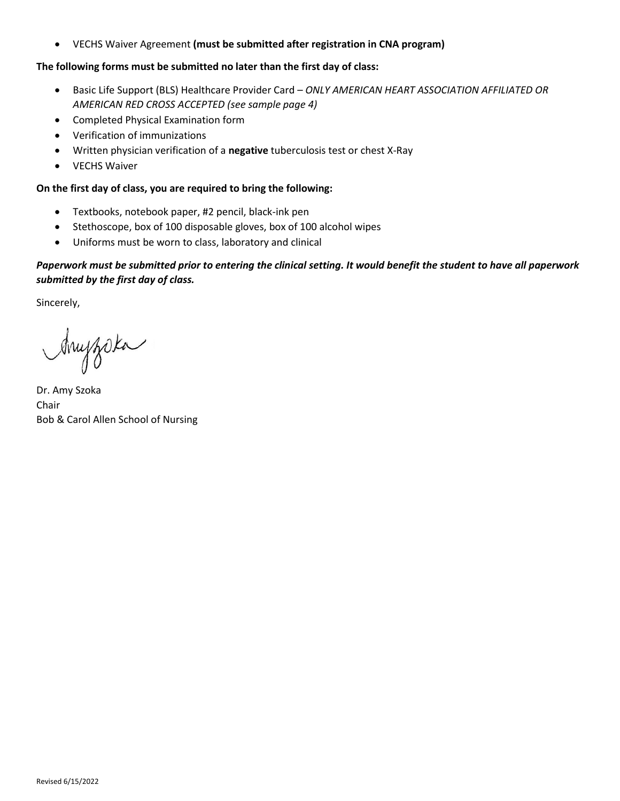• VECHS Waiver Agreement **(must be submitted after registration in CNA program)**

### **The following forms must be submitted no later than the first day of class:**

- Basic Life Support (BLS) Healthcare Provider Card *ONLY AMERICAN HEART ASSOCIATION AFFILIATED OR AMERICAN RED CROSS ACCEPTED (see sample page 4)*
- Completed Physical Examination form
- Verification of immunizations
- Written physician verification of a **negative** tuberculosis test or chest X-Ray
- VECHS Waiver

### **On the first day of class, you are required to bring the following:**

- Textbooks, notebook paper, #2 pencil, black-ink pen
- Stethoscope, box of 100 disposable gloves, box of 100 alcohol wipes
- Uniforms must be worn to class, laboratory and clinical

### *Paperwork must be submitted prior to entering the clinical setting. It would benefit the student to have all paperwork submitted by the first day of class.*

Sincerely,

Anyzoka

Dr. Amy Szoka Chair Bob & Carol Allen School of Nursing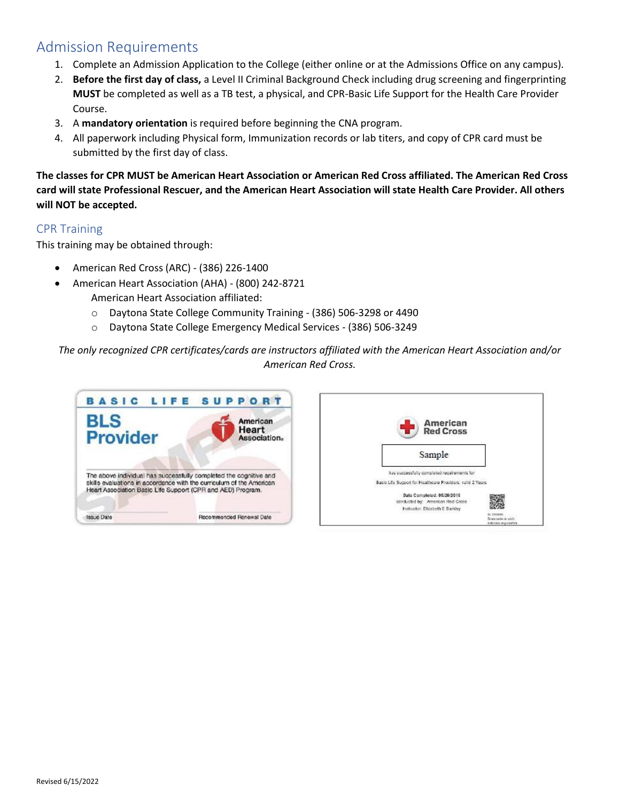# Admission Requirements

- 1. Complete an Admission Application to the College (either online or at the Admissions Office on any campus).
- 2. **Before the first day of class,** a Level II Criminal Background Check including drug screening and fingerprinting **MUST** be completed as well as a TB test, a physical, and CPR-Basic Life Support for the Health Care Provider Course.
- 3. A **mandatory orientation** is required before beginning the CNA program.
- 4. All paperwork including Physical form, Immunization records or lab titers, and copy of CPR card must be submitted by the first day of class.

**The classes for CPR MUST be American Heart Association or American Red Cross affiliated. The American Red Cross card will state Professional Rescuer, and the American Heart Association will state Health Care Provider. All others will NOT be accepted.**

### CPR Training

This training may be obtained through:

- American Red Cross (ARC) (386) 226-1400
- American Heart Association (AHA) (800) 242-8721
	- American Heart Association affiliated:
	- o Daytona State College Community Training (386) 506-3298 or 4490
	- o Daytona State College Emergency Medical Services (386) 506-3249

*The only recognized CPR certificates/cards are instructors affiliated with the American Heart Association and/or American Red Cross.*



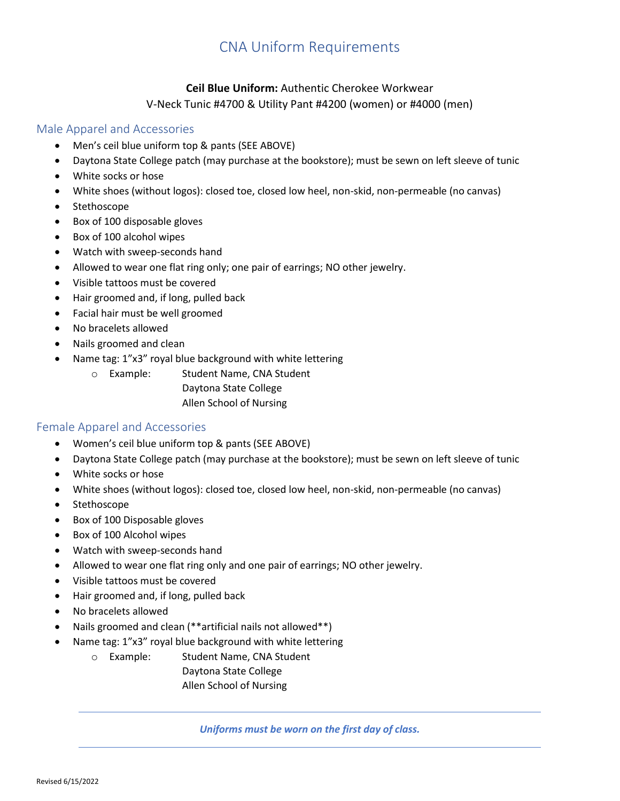# CNA Uniform Requirements

# **Ceil Blue Uniform:** Authentic Cherokee Workwear V-Neck Tunic #4700 & Utility Pant #4200 (women) or #4000 (men)

# Male Apparel and Accessories

- Men's ceil blue uniform top & pants (SEE ABOVE)
- Daytona State College patch (may purchase at the bookstore); must be sewn on left sleeve of tunic
- White socks or hose
- White shoes (without logos): closed toe, closed low heel, non-skid, non-permeable (no canvas)
- Stethoscope
- Box of 100 disposable gloves
- Box of 100 alcohol wipes
- Watch with sweep-seconds hand
- Allowed to wear one flat ring only; one pair of earrings; NO other jewelry.
- Visible tattoos must be covered
- Hair groomed and, if long, pulled back
- Facial hair must be well groomed
- No bracelets allowed
- Nails groomed and clean
- Name tag: 1"x3" royal blue background with white lettering
	- o Example: Student Name, CNA Student

Daytona State College Allen School of Nursing

### Female Apparel and Accessories

- Women's ceil blue uniform top & pants (SEE ABOVE)
- Daytona State College patch (may purchase at the bookstore); must be sewn on left sleeve of tunic
- White socks or hose
- White shoes (without logos): closed toe, closed low heel, non-skid, non-permeable (no canvas)
- Stethoscope
- Box of 100 Disposable gloves
- Box of 100 Alcohol wipes
- Watch with sweep-seconds hand
- Allowed to wear one flat ring only and one pair of earrings; NO other jewelry.
- Visible tattoos must be covered
- Hair groomed and, if long, pulled back
- No bracelets allowed
- Nails groomed and clean (\*\*artificial nails not allowed\*\*)
- Name tag: 1"x3" royal blue background with white lettering
	- o Example: Student Name, CNA Student
		- Daytona State College Allen School of Nursing

*Uniforms must be worn on the first day of class.*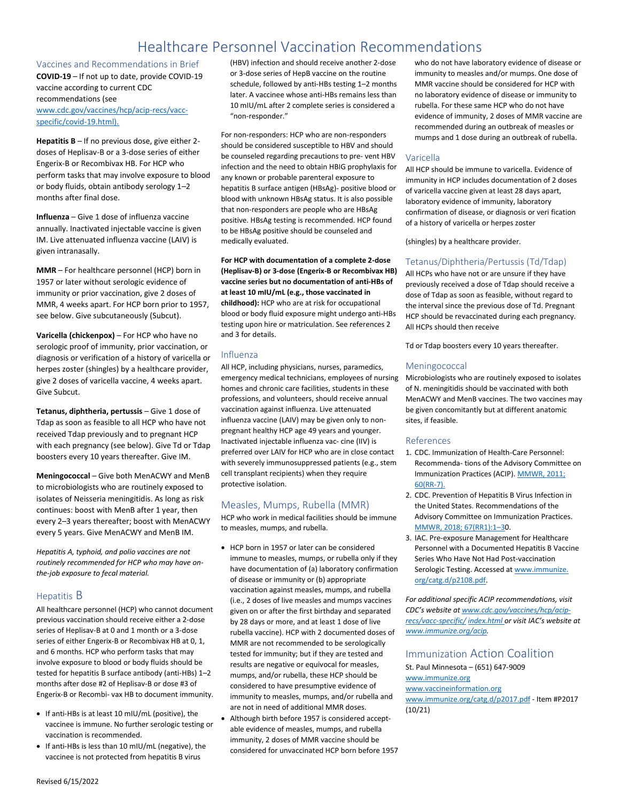# Healthcare Personnel Vaccination Recommendations

Vaccines and Recommendations in Brief **COVID-19** – If not up to date, provide COVID-19 vaccine according to current CDC recommendations (see

[www.cdc.gov/vaccines/hcp/acip-recs/vacc](http://www.cdc.gov/vaccines/hcp/acip-recs/vacc-specific/covid-19.html)[specific/covid-19.html\).](http://www.cdc.gov/vaccines/hcp/acip-recs/vacc-specific/covid-19.html)

**Hepatitis B** – If no previous dose, give either 2 doses of Heplisav-B or a 3-dose series of either Engerix-B or Recombivax HB. For HCP who perform tasks that may involve exposure to blood or body fluids, obtain antibody serology 1–2 months after final dose.

**Influenza** – Give 1 dose of influenza vaccine annually. Inactivated injectable vaccine is given IM. Live attenuated influenza vaccine (LAIV) is given intranasally.

**MMR** – For healthcare personnel (HCP) born in 1957 or later without serologic evidence of immunity or prior vaccination, give 2 doses of MMR, 4 weeks apart. For HCP born prior to 1957, see below. Give subcutaneously (Subcut).

**Varicella (chickenpox)** – For HCP who have no serologic proof of immunity, prior vaccination, or diagnosis or verification of a history of varicella or herpes zoster (shingles) by a healthcare provider, give 2 doses of varicella vaccine, 4 weeks apart. Give Subcut.

**Tetanus, diphtheria, pertussis** – Give 1 dose of Tdap as soon as feasible to all HCP who have not received Tdap previously and to pregnant HCP with each pregnancy (see below). Give Td or Tdap boosters every 10 years thereafter. Give IM.

**Meningococcal** – Give both MenACWY and MenB to microbiologists who are routinely exposed to isolates of Neisseria meningitidis. As long as risk continues: boost with MenB after 1 year, then every 2–3 years thereafter; boost with MenACWY every 5 years. Give MenACWY and MenB IM.

*Hepatitis A, typhoid, and polio vaccines are not routinely recommended for HCP who may have onthe-job exposure to fecal material.*

#### Hepatitis B

All healthcare personnel (HCP) who cannot document previous vaccination should receive either a 2-dose series of Heplisav-B at 0 and 1 month or a 3-dose series of either Engerix-B or Recombivax HB at 0, 1, and 6 months. HCP who perform tasks that may involve exposure to blood or body fluids should be tested for hepatitis B surface antibody (anti-HBs) 1–2 months after dose #2 of Heplisav-B or dose #3 of Engerix-B or Recombi- vax HB to document immunity.

- If anti-HBs is at least 10 mIU/mL (positive), the vaccinee is immune. No further serologic testing or vaccination is recommended.
- If anti-HBs is less than 10 mIU/mL (negative), the vaccinee is not protected from hepatitis B virus

(HBV) infection and should receive another 2-dose or 3-dose series of HepB vaccine on the routine schedule, followed by anti-HBs testing 1–2 months later. A vaccinee whose anti-HBs remains less than 10 mIU/mL after 2 complete series is considered a "non-responder."

For non-responders: HCP who are non-responders should be considered susceptible to HBV and should be counseled regarding precautions to pre- vent HBV infection and the need to obtain HBIG prophylaxis for any known or probable parenteral exposure to hepatitis B surface antigen (HBsAg)- positive blood or blood with unknown HBsAg status. It is also possible that non-responders are people who are HBsAg positive. HBsAg testing is recommended. HCP found to be HBsAg positive should be counseled and medically evaluated.

**For HCP with documentation of a complete 2-dose (Heplisav-B) or 3-dose (Engerix-B or Recombivax HB) vaccine series but no documentation of anti-HBs of at least 10 mIU/mL (e.g., those vaccinated in childhood):** HCP who are at risk for occupational blood or body fluid exposure might undergo anti-HBs testing upon hire or matriculation. See references 2 and 3 for details.

#### Influenza

All HCP, including physicians, nurses, paramedics, emergency medical technicians, employees of nursing homes and chronic care facilities, students in these professions, and volunteers, should receive annual vaccination against influenza. Live attenuated influenza vaccine (LAIV) may be given only to nonpregnant healthy HCP age 49 years and younger. Inactivated injectable influenza vac- cine (IIV) is preferred over LAIV for HCP who are in close contact with severely immunosuppressed patients (e.g., stem cell transplant recipients) when they require protective isolation.

#### Measles, Mumps, Rubella (MMR)

HCP who work in medical facilities should be immune to measles, mumps, and rubella.

- HCP born in 1957 or later can be considered immune to measles, mumps, or rubella only if they have documentation of (a) laboratory confirmation of disease or immunity or (b) appropriate vaccination against measles, mumps, and rubella (i.e., 2 doses of live measles and mumps vaccines given on or after the first birthday and separated by 28 days or more, and at least 1 dose of live rubella vaccine). HCP with 2 documented doses of MMR are not recommended to be serologically tested for immunity; but if they are tested and results are negative or equivocal for measles, mumps, and/or rubella, these HCP should be considered to have presumptive evidence of immunity to measles, mumps, and/or rubella and are not in need of additional MMR doses. Although birth before 1957 is considered acceptable evidence of measles, mumps, and rubella
	- immunity, 2 doses of MMR vaccine should be considered for unvaccinated HCP born before 1957

who do not have laboratory evidence of disease or immunity to measles and/or mumps. One dose of MMR vaccine should be considered for HCP with no laboratory evidence of disease or immunity to rubella. For these same HCP who do not have evidence of immunity, 2 doses of MMR vaccine are recommended during an outbreak of measles or mumps and 1 dose during an outbreak of rubella.

#### Varicella

All HCP should be immune to varicella. Evidence of immunity in HCP includes documentation of 2 doses of varicella vaccine given at least 28 days apart, laboratory evidence of immunity, laboratory confirmation of disease, or diagnosis or veri fication of a history of varicella or herpes zoster

(shingles) by a healthcare provider.

#### Tetanus/Diphtheria/Pertussis (Td/Tdap)

All HCPs who have not or are unsure if they have previously received a dose of Tdap should receive a dose of Tdap as soon as feasible, without regard to the interval since the previous dose of Td. Pregnant HCP should be revaccinated during each pregnancy. All HCPs should then receive

Td or Tdap boosters every 10 years thereafter.

#### Meningococcal

Microbiologists who are routinely exposed to isolates of N. meningitidis should be vaccinated with both MenACWY and MenB vaccines. The two vaccines may be given concomitantly but at different anatomic sites, if feasible.

#### References

- 1. CDC. Immunization of Health-Care Personnel: Recommenda- tions of the Advisory Committee on Immunization Practices (ACIP)[. MMWR, 2011;](https://www.cdc.gov/mmwr/preview/mmwrhtml/rr6007a1.htm?s_cid=rr6007a1_w)  [60\(RR-7\).](https://www.cdc.gov/mmwr/preview/mmwrhtml/rr6007a1.htm?s_cid=rr6007a1_w)
- 2. CDC. Prevention of Hepatitis B Virus Infection in the United States. Recommendations of the Advisory Committee on Immunization Practices. [MMWR, 2018; 67\(RR1\):1](https://www.cdc.gov/mmwr/volumes/67/rr/rr6701a1.htm)–30.
- 3. IAC. Pre-exposure Management for Healthcare Personnel with a Documented Hepatitis B Vaccine Series Who Have Not Had Post-vaccination Serologic Testing. Accessed a[t www.immunize.](http://www.immunize.org/catg.d/p2108.pdf) [org/catg.d/p2108.pdf.](http://www.immunize.org/catg.d/p2108.pdf)

*For additional specific ACIP recommendations, visit CDC's website at [www.cdc.gov/vaccines/hcp/acip](http://www.cdc.gov/vaccines/hcp/acip-recs/vacc-specific/index.html)[recs/vacc-specific/](http://www.cdc.gov/vaccines/hcp/acip-recs/vacc-specific/index.html) [index.html](http://www.cdc.gov/vaccines/hcp/acip-recs/vacc-specific/index.html) or visit IAC's website at [www.immunize.org/acip.](http://www.immunize.org/acip)*

### Immunization Action Coalition

St. Paul Minnesota – (651) 647-9009 [www.immunize.org](http://www.immunize.org/)

#### [www.vaccineinformation.org](http://www.vaccineinformation.org/)

[www.immunize.org/catg.d/p2017.pdf](http://www.immunize.org/catg.d/p2017.pdf) - Item #P2017 (10/21)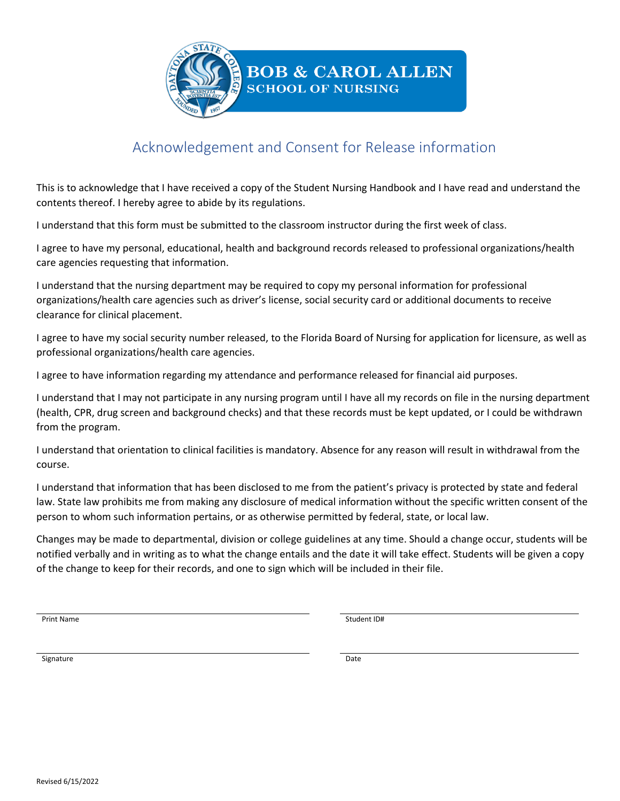

# Acknowledgement and Consent for Release information

This is to acknowledge that I have received a copy of the Student Nursing Handbook and I have read and understand the contents thereof. I hereby agree to abide by its regulations.

I understand that this form must be submitted to the classroom instructor during the first week of class.

I agree to have my personal, educational, health and background records released to professional organizations/health care agencies requesting that information.

I understand that the nursing department may be required to copy my personal information for professional organizations/health care agencies such as driver's license, social security card or additional documents to receive clearance for clinical placement.

I agree to have my social security number released, to the Florida Board of Nursing for application for licensure, as well as professional organizations/health care agencies.

I agree to have information regarding my attendance and performance released for financial aid purposes.

I understand that I may not participate in any nursing program until I have all my records on file in the nursing department (health, CPR, drug screen and background checks) and that these records must be kept updated, or I could be withdrawn from the program.

I understand that orientation to clinical facilities is mandatory. Absence for any reason will result in withdrawal from the course.

I understand that information that has been disclosed to me from the patient's privacy is protected by state and federal law. State law prohibits me from making any disclosure of medical information without the specific written consent of the person to whom such information pertains, or as otherwise permitted by federal, state, or local law.

Changes may be made to departmental, division or college guidelines at any time. Should a change occur, students will be notified verbally and in writing as to what the change entails and the date it will take effect. Students will be given a copy of the change to keep for their records, and one to sign which will be included in their file.

Print Name Student ID#

Signature Date Date of the Date of the Date of the Date of the Date of the Date of the Date of the Date of the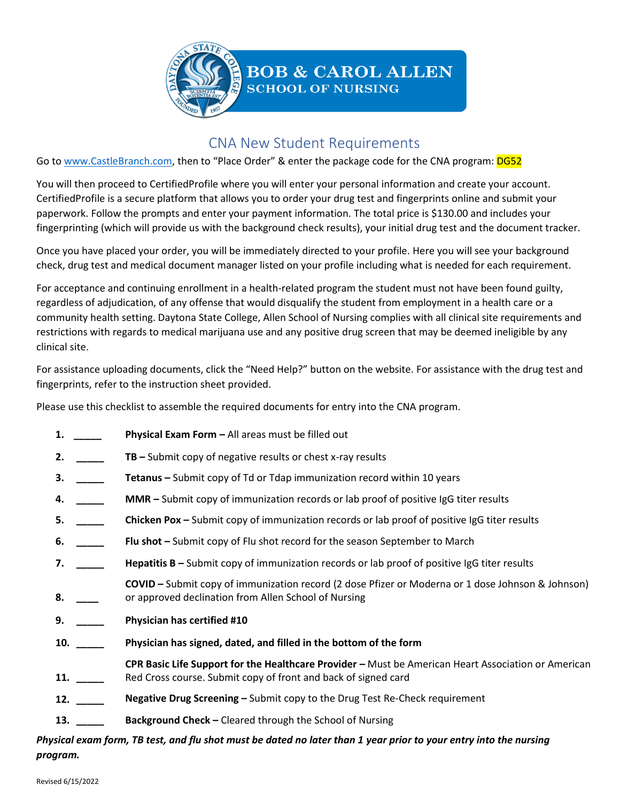

# CNA New Student Requirements

Go to [www.CastleBranch.com](http://www.castlebranch.com/), then to "Place Order" & enter the package code for the CNA program: DG52

You will then proceed to CertifiedProfile where you will enter your personal information and create your account. CertifiedProfile is a secure platform that allows you to order your drug test and fingerprints online and submit your paperwork. Follow the prompts and enter your payment information. The total price is \$130.00 and includes your fingerprinting (which will provide us with the background check results), your initial drug test and the document tracker.

Once you have placed your order, you will be immediately directed to your profile. Here you will see your background check, drug test and medical document manager listed on your profile including what is needed for each requirement.

For acceptance and continuing enrollment in a health-related program the student must not have been found guilty, regardless of adjudication, of any offense that would disqualify the student from employment in a health care or a community health setting. Daytona State College, Allen School of Nursing complies with all clinical site requirements and restrictions with regards to medical marijuana use and any positive drug screen that may be deemed ineligible by any clinical site.

For assistance uploading documents, click the "Need Help?" button on the website. For assistance with the drug test and fingerprints, refer to the instruction sheet provided.

Please use this checklist to assemble the required documents for entry into the CNA program.

- **1. \_\_\_\_\_ Physical Exam Form –** All areas must be filled out
- **2. \_\_\_\_\_ TB –** Submit copy of negative results or chest x-ray results
- **3. \_\_\_\_\_ Tetanus –** Submit copy of Td or Tdap immunization record within 10 years
- **4. \_\_\_\_\_ MMR –** Submit copy of immunization records or lab proof of positive IgG titer results
- **5. \_\_\_\_\_\_ Chicken Pox –** Submit copy of immunization records or lab proof of positive IgG titer results
- **6. \_\_\_\_\_ Flu shot –** Submit copy of Flu shot record for the season September to March
- **7. \_\_\_\_\_ Hepatitis B –** Submit copy of immunization records or lab proof of positive IgG titer results
- **8. \_\_\_\_ COVID –** Submit copy of immunization record (2 dose Pfizer or Moderna or 1 dose Johnson & Johnson) or approved declination from Allen School of Nursing
- **9. \_\_\_\_\_ Physician has certified #10**
- **10. \_\_\_\_\_ Physician has signed, dated, and filled in the bottom of the form**
- **11. \_\_\_\_\_ CPR Basic Life Support for the Healthcare Provider –** Must be American Heart Association or American Red Cross course. Submit copy of front and back of signed card
- **12. \_\_\_\_\_ Negative Drug Screening –** Submit copy to the Drug Test Re-Check requirement
- **13. \_\_\_\_\_ Background Check –** Cleared through the School of Nursing

*Physical exam form, TB test, and flu shot must be dated no later than 1 year prior to your entry into the nursing program.*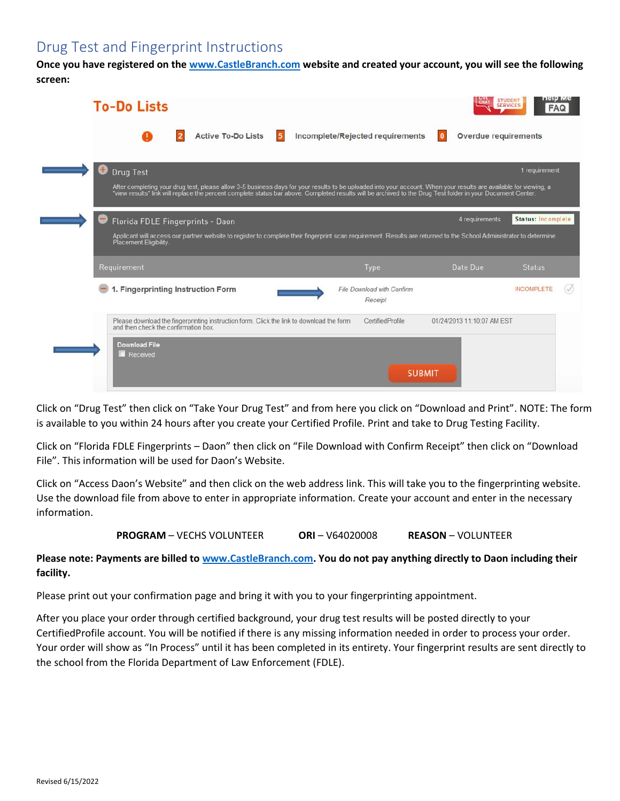# Drug Test and Fingerprint Instructions

**Once you have registered on the [www.CastleBranch.com](http://www.castlebranch.com/) website and created your account, you will see the following screen:**

|    | <b>To-Do Lists</b>                                                                                                                                                                                                                                                                                                                                   |                                       |                            | <b>SERVICES</b><br><b>FAQ</b> |
|----|------------------------------------------------------------------------------------------------------------------------------------------------------------------------------------------------------------------------------------------------------------------------------------------------------------------------------------------------------|---------------------------------------|----------------------------|-------------------------------|
|    | <b>Active To-Do Lists</b>                                                                                                                                                                                                                                                                                                                            | Incomplete/Rejected requirements      | Overdue requirements       |                               |
| ۵. | <b>Drug Test</b><br>After completing your drug test, please allow 3-5 business days for your results to be uploaded into your account. When your results are available for viewing, a<br>"view results" link will replace the percent complete status bar above. Completed results will be archived to the Drug Test folder in your Document Center. |                                       |                            | 1 requirement                 |
|    | Florida FDLE Fingerprints - Daon<br>Applicant will access our partner website to register to complete their fingerprint scan requirement. Results are returned to the School Administrator to determine<br>Placement Eligibility.                                                                                                                    |                                       | 4 requirements             | Status: Incomplete            |
|    | Requirement                                                                                                                                                                                                                                                                                                                                          | Type                                  | Date Due                   | <b>Status</b>                 |
|    | 1. Fingerprinting Instruction Form                                                                                                                                                                                                                                                                                                                   | File Download with Confirm<br>Receipt |                            | <b>INCOMPLETE</b>             |
|    | Please download the fingerprinting instruction form. Click the link to download the form<br>and then check the confirmation box.                                                                                                                                                                                                                     | CertifiedProfile                      | 01/24/2013 11:10:07 AM EST |                               |
|    | <b>Download File</b><br>Received                                                                                                                                                                                                                                                                                                                     |                                       |                            |                               |
|    |                                                                                                                                                                                                                                                                                                                                                      | <b>SUBMIT</b>                         |                            |                               |

Click on "Drug Test" then click on "Take Your Drug Test" and from here you click on "Download and Print". NOTE: The form is available to you within 24 hours after you create your Certified Profile. Print and take to Drug Testing Facility.

Click on "Florida FDLE Fingerprints – Daon" then click on "File Download with Confirm Receipt" then click on "Download File". This information will be used for Daon's Website.

Click on "Access Daon's Website" and then click on the web address link. This will take you to the fingerprinting website. Use the download file from above to enter in appropriate information. Create your account and enter in the necessary information.

**PROGRAM** – VECHS VOLUNTEER **ORI** – V64020008 **REASON** – VOLUNTEER

### **Please note: Payments are billed t[o www.CastleBranch.com.](http://www.castlebranch.com/) You do not pay anything directly to Daon including their facility.**

Please print out your confirmation page and bring it with you to your fingerprinting appointment.

After you place your order through certified background, your drug test results will be posted directly to your CertifiedProfile account. You will be notified if there is any missing information needed in order to process your order. Your order will show as "In Process" until it has been completed in its entirety. Your fingerprint results are sent directly to the school from the Florida Department of Law Enforcement (FDLE).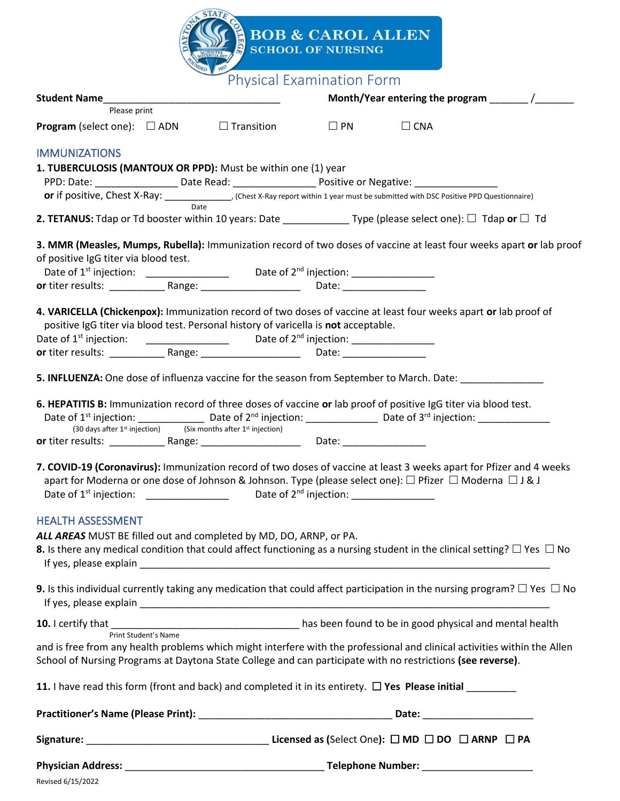|                                                                                                                                                                                                                                  |                                  | <b>BOB &amp; CAROL ALLEN</b><br><b>SCHOOL OF NURSING</b> |               |  |  |  |  |
|----------------------------------------------------------------------------------------------------------------------------------------------------------------------------------------------------------------------------------|----------------------------------|----------------------------------------------------------|---------------|--|--|--|--|
|                                                                                                                                                                                                                                  |                                  |                                                          |               |  |  |  |  |
|                                                                                                                                                                                                                                  | <b>Physical Examination Form</b> |                                                          |               |  |  |  |  |
| Student Name<br>Month/Year entering the program /<br>Please print                                                                                                                                                                |                                  |                                                          |               |  |  |  |  |
| <b>Program</b> (select one): $\Box$ ADN $\Box$ Transition $\Box$ PN                                                                                                                                                              |                                  |                                                          | $\square$ CNA |  |  |  |  |
| <b>IMMUNIZATIONS</b>                                                                                                                                                                                                             |                                  |                                                          |               |  |  |  |  |
| 1. TUBERCULOSIS (MANTOUX OR PPD): Must be within one (1) year<br>PPD: Date: _______________________Date Read: ________________________Positive or Negative: ___________________                                                  |                                  |                                                          |               |  |  |  |  |
| or if positive, Chest X-Ray: _____________, (Chest X-Ray report within 1 year must be submitted with DSC Positive PPD Questionnaire)                                                                                             |                                  |                                                          |               |  |  |  |  |
| 2. TETANUS: Tdap or Td booster within 10 years: Date ________________ Type (please select one): $\Box$ Tdap or $\Box$ Td                                                                                                         |                                  |                                                          |               |  |  |  |  |
| 3. MMR (Measles, Mumps, Rubella): Immunization record of two doses of vaccine at least four weeks apart or lab proof                                                                                                             |                                  |                                                          |               |  |  |  |  |
| of positive IgG titer via blood test.                                                                                                                                                                                            |                                  |                                                          |               |  |  |  |  |
|                                                                                                                                                                                                                                  |                                  |                                                          |               |  |  |  |  |
|                                                                                                                                                                                                                                  |                                  |                                                          |               |  |  |  |  |
| 4. VARICELLA (Chickenpox): Immunization record of two doses of vaccine at least four weeks apart or lab proof of                                                                                                                 |                                  |                                                          |               |  |  |  |  |
| positive IgG titer via blood test. Personal history of varicella is not acceptable.                                                                                                                                              |                                  |                                                          |               |  |  |  |  |
|                                                                                                                                                                                                                                  |                                  |                                                          |               |  |  |  |  |
|                                                                                                                                                                                                                                  |                                  |                                                          |               |  |  |  |  |
| 5. INFLUENZA: One dose of influenza vaccine for the season from September to March. Date: ________________                                                                                                                       |                                  |                                                          |               |  |  |  |  |
| 6. HEPATITIS B: Immunization record of three doses of vaccine or lab proof of positive IgG titer via blood test.<br>(30 days after $1^{st}$ injection) (Six months after $1^{st}$ injection)                                     |                                  |                                                          |               |  |  |  |  |
|                                                                                                                                                                                                                                  |                                  |                                                          |               |  |  |  |  |
| 7. COVID-19 (Coronavirus): Immunization record of two doses of vaccine at least 3 weeks apart for Pfizer and 4 weeks<br>apart for Moderna or one dose of Johnson & Johnson. Type (please select one): □ Pfizer □ Moderna □ J & J |                                  |                                                          |               |  |  |  |  |
| <b>HEALTH ASSESSMENT</b>                                                                                                                                                                                                         |                                  |                                                          |               |  |  |  |  |
| ALL AREAS MUST BE filled out and completed by MD, DO, ARNP, or PA.                                                                                                                                                               |                                  |                                                          |               |  |  |  |  |
| <b>8.</b> Is there any medical condition that could affect functioning as a nursing student in the clinical setting? $\Box$ Yes $\Box$ No                                                                                        |                                  |                                                          |               |  |  |  |  |
| 9. Is this individual currently taking any medication that could affect participation in the nursing program? $\Box$ Yes $\Box$ No                                                                                               |                                  |                                                          |               |  |  |  |  |
| Print Student's Name                                                                                                                                                                                                             |                                  |                                                          |               |  |  |  |  |
| and is free from any health problems which might interfere with the professional and clinical activities within the Allen                                                                                                        |                                  |                                                          |               |  |  |  |  |
| School of Nursing Programs at Daytona State College and can participate with no restrictions (see reverse).                                                                                                                      |                                  |                                                          |               |  |  |  |  |
| 11. I have read this form (front and back) and completed it in its entirety. $\Box$ Yes Please initial                                                                                                                           |                                  |                                                          |               |  |  |  |  |
|                                                                                                                                                                                                                                  |                                  |                                                          |               |  |  |  |  |
|                                                                                                                                                                                                                                  |                                  |                                                          |               |  |  |  |  |
|                                                                                                                                                                                                                                  |                                  |                                                          |               |  |  |  |  |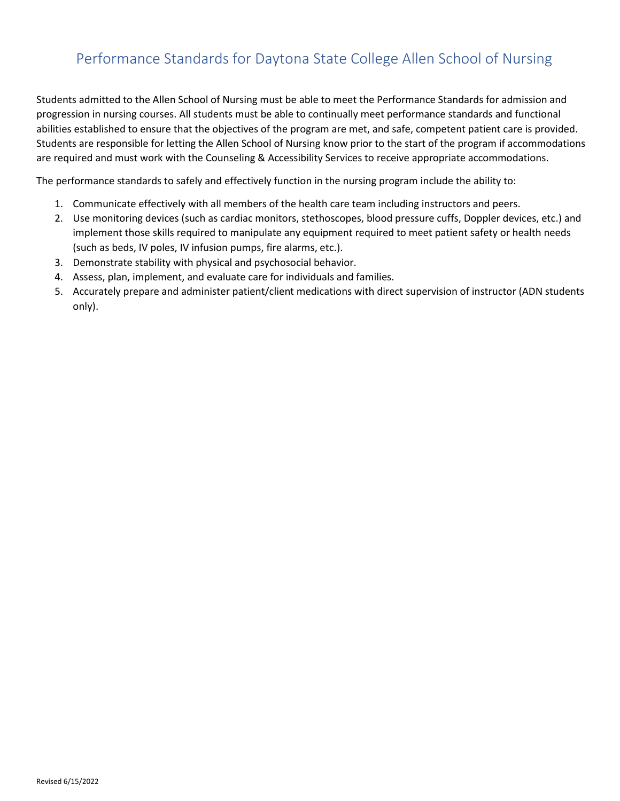# Performance Standards for Daytona State College Allen School of Nursing

Students admitted to the Allen School of Nursing must be able to meet the Performance Standards for admission and progression in nursing courses. All students must be able to continually meet performance standards and functional abilities established to ensure that the objectives of the program are met, and safe, competent patient care is provided. Students are responsible for letting the Allen School of Nursing know prior to the start of the program if accommodations are required and must work with the Counseling & Accessibility Services to receive appropriate accommodations.

The performance standards to safely and effectively function in the nursing program include the ability to:

- 1. Communicate effectively with all members of the health care team including instructors and peers.
- 2. Use monitoring devices (such as cardiac monitors, stethoscopes, blood pressure cuffs, Doppler devices, etc.) and implement those skills required to manipulate any equipment required to meet patient safety or health needs (such as beds, IV poles, IV infusion pumps, fire alarms, etc.).
- 3. Demonstrate stability with physical and psychosocial behavior.
- 4. Assess, plan, implement, and evaluate care for individuals and families.
- 5. Accurately prepare and administer patient/client medications with direct supervision of instructor (ADN students only).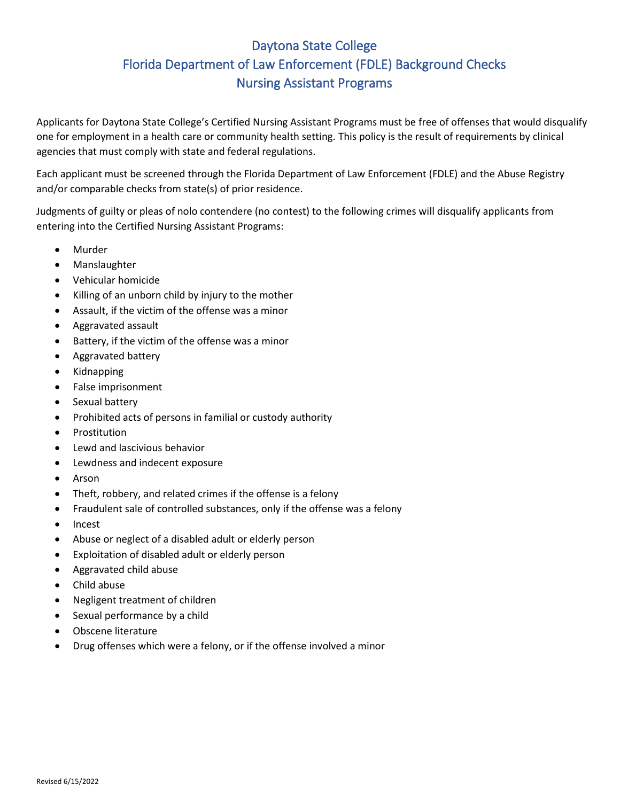# Daytona State College Florida Department of Law Enforcement (FDLE) Background Checks Nursing Assistant Programs

Applicants for Daytona State College's Certified Nursing Assistant Programs must be free of offenses that would disqualify one for employment in a health care or community health setting. This policy is the result of requirements by clinical agencies that must comply with state and federal regulations.

Each applicant must be screened through the Florida Department of Law Enforcement (FDLE) and the Abuse Registry and/or comparable checks from state(s) of prior residence.

Judgments of guilty or pleas of nolo contendere (no contest) to the following crimes will disqualify applicants from entering into the Certified Nursing Assistant Programs:

- **Murder**
- Manslaughter
- Vehicular homicide
- Killing of an unborn child by injury to the mother
- Assault, if the victim of the offense was a minor
- Aggravated assault
- Battery, if the victim of the offense was a minor
- Aggravated battery
- Kidnapping
- False imprisonment
- Sexual battery
- Prohibited acts of persons in familial or custody authority
- **Prostitution**
- Lewd and lascivious behavior
- Lewdness and indecent exposure
- Arson
- Theft, robbery, and related crimes if the offense is a felony
- Fraudulent sale of controlled substances, only if the offense was a felony
- Incest
- Abuse or neglect of a disabled adult or elderly person
- Exploitation of disabled adult or elderly person
- Aggravated child abuse
- Child abuse
- Negligent treatment of children
- Sexual performance by a child
- Obscene literature
- Drug offenses which were a felony, or if the offense involved a minor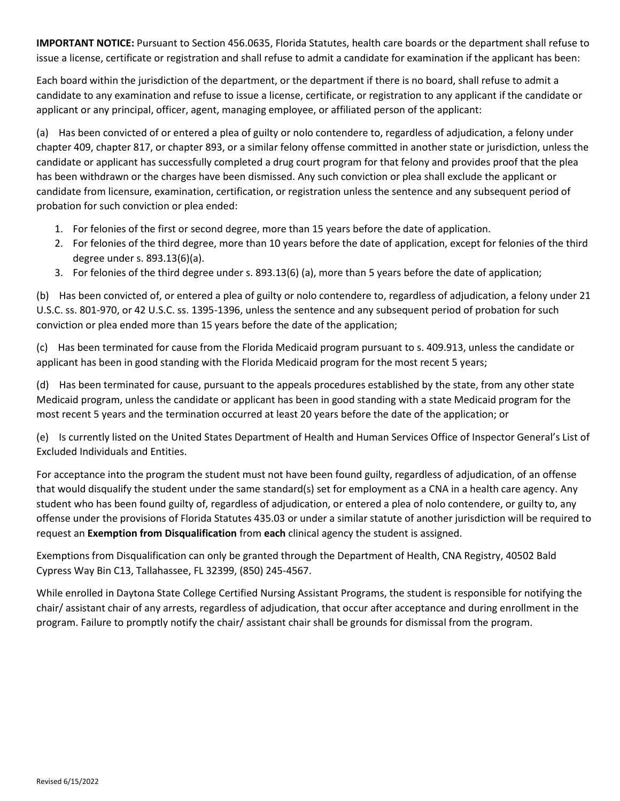**IMPORTANT NOTICE:** Pursuant to Section 456.0635, Florida Statutes, health care boards or the department shall refuse to issue a license, certificate or registration and shall refuse to admit a candidate for examination if the applicant has been:

Each board within the jurisdiction of the department, or the department if there is no board, shall refuse to admit a candidate to any examination and refuse to issue a license, certificate, or registration to any applicant if the candidate or applicant or any principal, officer, agent, managing employee, or affiliated person of the applicant:

(a) Has been convicted of or entered a plea of guilty or nolo contendere to, regardless of adjudication, a felony under chapter 409, chapter 817, or chapter 893, or a similar felony offense committed in another state or jurisdiction, unless the candidate or applicant has successfully completed a drug court program for that felony and provides proof that the plea has been withdrawn or the charges have been dismissed. Any such conviction or plea shall exclude the applicant or candidate from licensure, examination, certification, or registration unless the sentence and any subsequent period of probation for such conviction or plea ended:

- 1. For felonies of the first or second degree, more than 15 years before the date of application.
- 2. For felonies of the third degree, more than 10 years before the date of application, except for felonies of the third degree under s. 893.13(6)(a).
- 3. For felonies of the third degree under s. 893.13(6) (a), more than 5 years before the date of application;

(b) Has been convicted of, or entered a plea of guilty or nolo contendere to, regardless of adjudication, a felony under 21 U.S.C. ss. 801-970, or 42 U.S.C. ss. 1395-1396, unless the sentence and any subsequent period of probation for such conviction or plea ended more than 15 years before the date of the application;

(c) Has been terminated for cause from the Florida Medicaid program pursuant to s. 409.913, unless the candidate or applicant has been in good standing with the Florida Medicaid program for the most recent 5 years;

(d) Has been terminated for cause, pursuant to the appeals procedures established by the state, from any other state Medicaid program, unless the candidate or applicant has been in good standing with a state Medicaid program for the most recent 5 years and the termination occurred at least 20 years before the date of the application; or

(e) Is currently listed on the United States Department of Health and Human Services Office of Inspector General's List of Excluded Individuals and Entities.

For acceptance into the program the student must not have been found guilty, regardless of adjudication, of an offense that would disqualify the student under the same standard(s) set for employment as a CNA in a health care agency. Any student who has been found guilty of, regardless of adjudication, or entered a plea of nolo contendere, or guilty to, any offense under the provisions of Florida Statutes 435.03 or under a similar statute of another jurisdiction will be required to request an **Exemption from Disqualification** from **each** clinical agency the student is assigned.

Exemptions from Disqualification can only be granted through the Department of Health, CNA Registry, 40502 Bald Cypress Way Bin C13, Tallahassee, FL 32399, (850) 245-4567.

While enrolled in Daytona State College Certified Nursing Assistant Programs, the student is responsible for notifying the chair/ assistant chair of any arrests, regardless of adjudication, that occur after acceptance and during enrollment in the program. Failure to promptly notify the chair/ assistant chair shall be grounds for dismissal from the program.